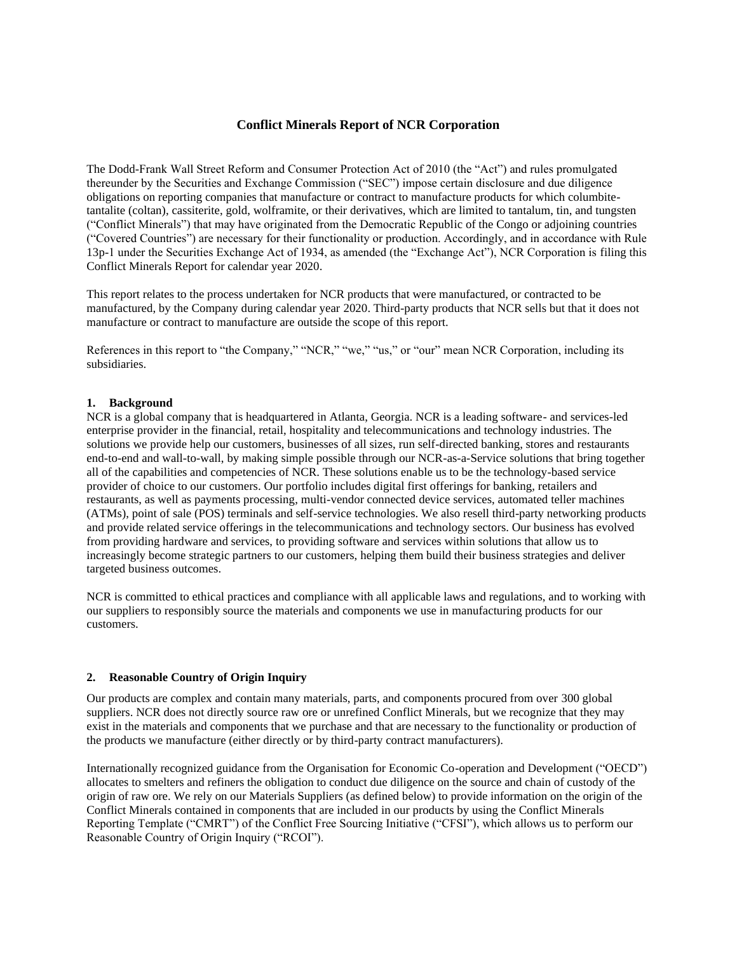## **Conflict Minerals Report of NCR Corporation**

The Dodd-Frank Wall Street Reform and Consumer Protection Act of 2010 (the "Act") and rules promulgated thereunder by the Securities and Exchange Commission ("SEC") impose certain disclosure and due diligence obligations on reporting companies that manufacture or contract to manufacture products for which columbitetantalite (coltan), cassiterite, gold, wolframite, or their derivatives, which are limited to tantalum, tin, and tungsten ("Conflict Minerals") that may have originated from the Democratic Republic of the Congo or adjoining countries ("Covered Countries") are necessary for their functionality or production. Accordingly, and in accordance with Rule 13p-1 under the Securities Exchange Act of 1934, as amended (the "Exchange Act"), NCR Corporation is filing this Conflict Minerals Report for calendar year 2020.

This report relates to the process undertaken for NCR products that were manufactured, or contracted to be manufactured, by the Company during calendar year 2020. Third-party products that NCR sells but that it does not manufacture or contract to manufacture are outside the scope of this report.

References in this report to "the Company," "NCR," "we," "us," or "our" mean NCR Corporation, including its subsidiaries.

## **1. Background**

NCR is a global company that is headquartered in Atlanta, Georgia. NCR is a leading software- and services-led enterprise provider in the financial, retail, hospitality and telecommunications and technology industries. The solutions we provide help our customers, businesses of all sizes, run self-directed banking, stores and restaurants end-to-end and wall-to-wall, by making simple possible through our NCR-as-a-Service solutions that bring together all of the capabilities and competencies of NCR. These solutions enable us to be the technology-based service provider of choice to our customers. Our portfolio includes digital first offerings for banking, retailers and restaurants, as well as payments processing, multi-vendor connected device services, automated teller machines (ATMs), point of sale (POS) terminals and self-service technologies. We also resell third-party networking products and provide related service offerings in the telecommunications and technology sectors. Our business has evolved from providing hardware and services, to providing software and services within solutions that allow us to increasingly become strategic partners to our customers, helping them build their business strategies and deliver targeted business outcomes.

NCR is committed to ethical practices and compliance with all applicable laws and regulations, and to working with our suppliers to responsibly source the materials and components we use in manufacturing products for our customers.

## **2. Reasonable Country of Origin Inquiry**

Our products are complex and contain many materials, parts, and components procured from over 300 global suppliers. NCR does not directly source raw ore or unrefined Conflict Minerals, but we recognize that they may exist in the materials and components that we purchase and that are necessary to the functionality or production of the products we manufacture (either directly or by third-party contract manufacturers).

Internationally recognized guidance from the Organisation for Economic Co-operation and Development ("OECD") allocates to smelters and refiners the obligation to conduct due diligence on the source and chain of custody of the origin of raw ore. We rely on our Materials Suppliers (as defined below) to provide information on the origin of the Conflict Minerals contained in components that are included in our products by using the Conflict Minerals Reporting Template ("CMRT") of the Conflict Free Sourcing Initiative ("CFSI"), which allows us to perform our Reasonable Country of Origin Inquiry ("RCOI").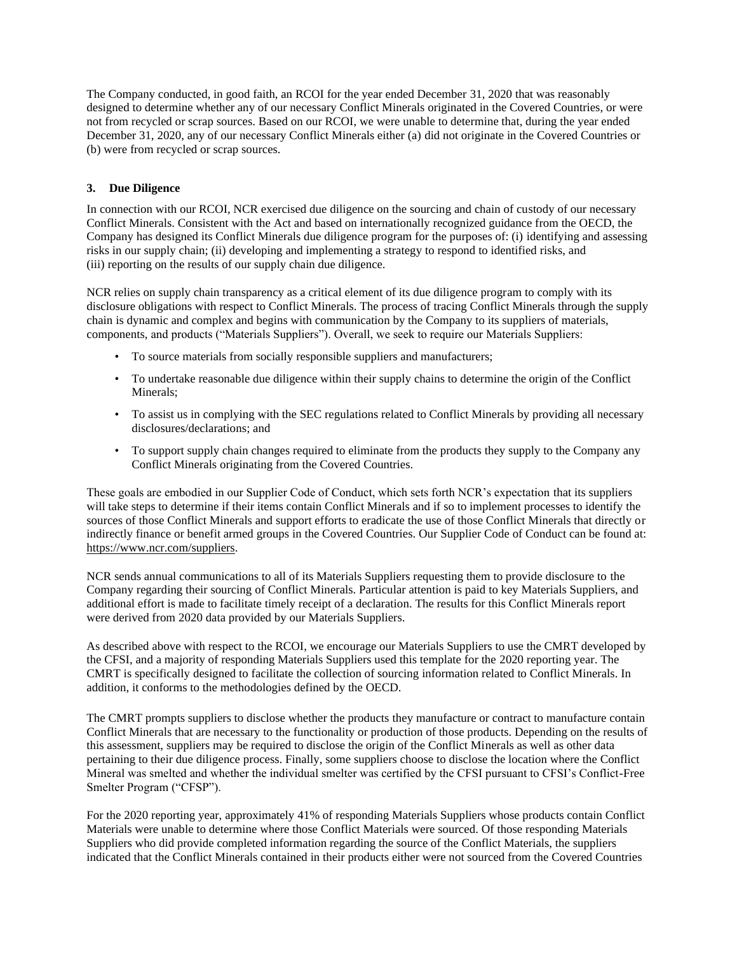The Company conducted, in good faith, an RCOI for the year ended December 31, 2020 that was reasonably designed to determine whether any of our necessary Conflict Minerals originated in the Covered Countries, or were not from recycled or scrap sources. Based on our RCOI, we were unable to determine that, during the year ended December 31, 2020, any of our necessary Conflict Minerals either (a) did not originate in the Covered Countries or (b) were from recycled or scrap sources.

## **3. Due Diligence**

In connection with our RCOI, NCR exercised due diligence on the sourcing and chain of custody of our necessary Conflict Minerals. Consistent with the Act and based on internationally recognized guidance from the OECD, the Company has designed its Conflict Minerals due diligence program for the purposes of: (i) identifying and assessing risks in our supply chain; (ii) developing and implementing a strategy to respond to identified risks, and (iii) reporting on the results of our supply chain due diligence.

NCR relies on supply chain transparency as a critical element of its due diligence program to comply with its disclosure obligations with respect to Conflict Minerals. The process of tracing Conflict Minerals through the supply chain is dynamic and complex and begins with communication by the Company to its suppliers of materials, components, and products ("Materials Suppliers"). Overall, we seek to require our Materials Suppliers:

- To source materials from socially responsible suppliers and manufacturers;
- To undertake reasonable due diligence within their supply chains to determine the origin of the Conflict Minerals;
- To assist us in complying with the SEC regulations related to Conflict Minerals by providing all necessary disclosures/declarations; and
- To support supply chain changes required to eliminate from the products they supply to the Company any Conflict Minerals originating from the Covered Countries.

These goals are embodied in our Supplier Code of Conduct, which sets forth NCR's expectation that its suppliers will take steps to determine if their items contain Conflict Minerals and if so to implement processes to identify the sources of those Conflict Minerals and support efforts to eradicate the use of those Conflict Minerals that directly or indirectly finance or benefit armed groups in the Covered Countries. Our Supplier Code of Conduct can be found at: https://www.ncr.com/suppliers.

NCR sends annual communications to all of its Materials Suppliers requesting them to provide disclosure to the Company regarding their sourcing of Conflict Minerals. Particular attention is paid to key Materials Suppliers, and additional effort is made to facilitate timely receipt of a declaration. The results for this Conflict Minerals report were derived from 2020 data provided by our Materials Suppliers.

As described above with respect to the RCOI, we encourage our Materials Suppliers to use the CMRT developed by the CFSI, and a majority of responding Materials Suppliers used this template for the 2020 reporting year. The CMRT is specifically designed to facilitate the collection of sourcing information related to Conflict Minerals. In addition, it conforms to the methodologies defined by the OECD.

The CMRT prompts suppliers to disclose whether the products they manufacture or contract to manufacture contain Conflict Minerals that are necessary to the functionality or production of those products. Depending on the results of this assessment, suppliers may be required to disclose the origin of the Conflict Minerals as well as other data pertaining to their due diligence process. Finally, some suppliers choose to disclose the location where the Conflict Mineral was smelted and whether the individual smelter was certified by the CFSI pursuant to CFSI's Conflict-Free Smelter Program ("CFSP").

For the 2020 reporting year, approximately 41% of responding Materials Suppliers whose products contain Conflict Materials were unable to determine where those Conflict Materials were sourced. Of those responding Materials Suppliers who did provide completed information regarding the source of the Conflict Materials, the suppliers indicated that the Conflict Minerals contained in their products either were not sourced from the Covered Countries